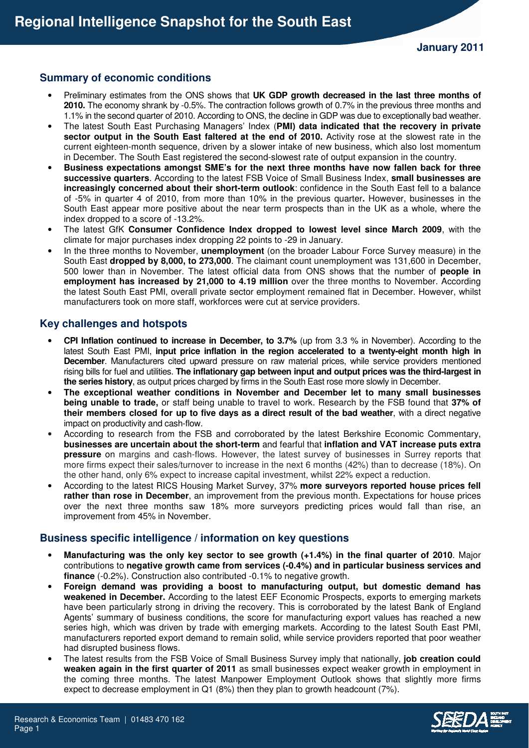# **Summary of economic conditions**

- Preliminary estimates from the ONS shows that **UK GDP growth decreased in the last three months of 2010.** The economy shrank by -0.5%. The contraction follows growth of 0.7% in the previous three months and 1.1% in the second quarter of 2010. According to ONS, the decline in GDP was due to exceptionally bad weather.
- The latest South East Purchasing Managers' Index (**PMI) data indicated that the recovery in private sector output in the South East faltered at the end of 2010.** Activity rose at the slowest rate in the current eighteen-month sequence, driven by a slower intake of new business, which also lost momentum in December. The South East registered the second-slowest rate of output expansion in the country.
- **Business expectations amongst SME's for the next three months have now fallen back for three successive quarters**. According to the latest FSB Voice of Small Business Index, **small businesses are increasingly concerned about their short-term outlook**: confidence in the South East fell to a balance of -5% in quarter 4 of 2010, from more than 10% in the previous quarter**.** However, businesses in the South East appear more positive about the near term prospects than in the UK as a whole, where the index dropped to a score of -13.2%.
- The latest GfK **Consumer Confidence Index dropped to lowest level since March 2009**, with the climate for major purchases index dropping 22 points to -29 in January.
- In the three months to November, **unemployment** (on the broader Labour Force Survey measure) in the South East **dropped by 8,000, to 273,000**. The claimant count unemployment was 131,600 in December, 500 lower than in November. The latest official data from ONS shows that the number of **people in employment has increased by 21,000 to 4.19 million** over the three months to November. According the latest South East PMI, overall private sector employment remained flat in December. However, whilst manufacturers took on more staff, workforces were cut at service providers.

# **Key challenges and hotspots**

- **CPI Inflation continued to increase in December, to 3.7%** (up from 3.3 % in November). According to the latest South East PMI, **input price inflation in the region accelerated to a twenty-eight month high in December**. Manufacturers cited upward pressure on raw material prices, while service providers mentioned rising bills for fuel and utilities. **The inflationary gap between input and output prices was the third-largest in the series history**, as output prices charged by firms in the South East rose more slowly in December.
- **The exceptional weather conditions in November and December let to many small businesses being unable to trade,** or staff being unable to travel to work. Research by the FSB found that **37% of their members closed for up to five days as a direct result of the bad weather**, with a direct negative impact on productivity and cash-flow.
- According to research from the FSB and corroborated by the latest Berkshire Economic Commentary, **businesses are uncertain about the short-term** and fearful that **inflation and VAT increase puts extra pressure** on margins and cash-flows. However, the latest survey of businesses in Surrey reports that more firms expect their sales/turnover to increase in the next 6 months (42%) than to decrease (18%). On the other hand, only 6% expect to increase capital investment, whilst 22% expect a reduction.
- According to the latest RICS Housing Market Survey, 37% **more surveyors reported house prices fell rather than rose in December**, an improvement from the previous month. Expectations for house prices over the next three months saw 18% more surveyors predicting prices would fall than rise, an improvement from 45% in November.

## **Business specific intelligence / information on key questions**

- **Manufacturing was the only key sector to see growth (+1.4%) in the final quarter of 2010**. Major contributions to **negative growth came from services (-0.4%) and in particular business services and finance** (-0.2%). Construction also contributed -0.1% to negative growth.
- **Foreign demand was providing a boost to manufacturing output, but domestic demand has weakened in December.** According to the latest EEF Economic Prospects, exports to emerging markets have been particularly strong in driving the recovery. This is corroborated by the latest Bank of England Agents' summary of business conditions, the score for manufacturing export values has reached a new series high, which was driven by trade with emerging markets. According to the latest South East PMI, manufacturers reported export demand to remain solid, while service providers reported that poor weather had disrupted business flows.
- The latest results from the FSB Voice of Small Business Survey imply that nationally, **job creation could weaken again in the first quarter of 2011** as small businesses expect weaker growth in employment in the coming three months. The latest Manpower Employment Outlook shows that slightly more firms expect to decrease employment in Q1 (8%) then they plan to growth headcount (7%).

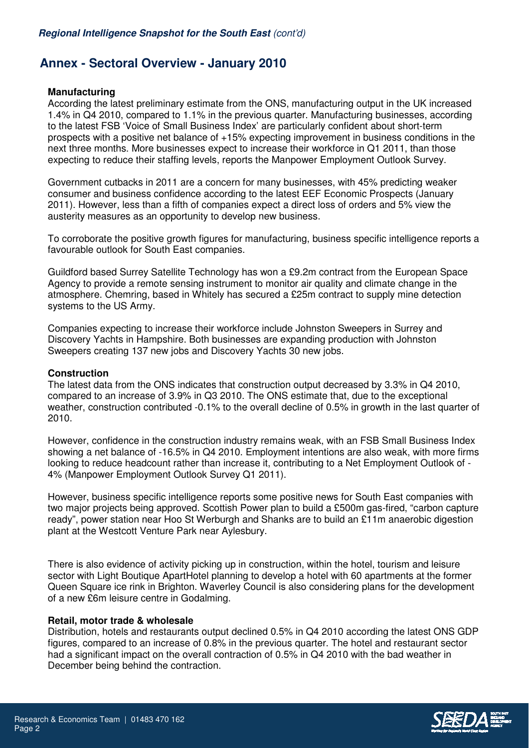# **Annex - Sectoral Overview - January 2010**

## **Manufacturing**

According the latest preliminary estimate from the ONS, manufacturing output in the UK increased 1.4% in Q4 2010, compared to 1.1% in the previous quarter. Manufacturing businesses, according to the latest FSB 'Voice of Small Business Index' are particularly confident about short-term prospects with a positive net balance of +15% expecting improvement in business conditions in the next three months. More businesses expect to increase their workforce in Q1 2011, than those expecting to reduce their staffing levels, reports the Manpower Employment Outlook Survey.

Government cutbacks in 2011 are a concern for many businesses, with 45% predicting weaker consumer and business confidence according to the latest EEF Economic Prospects (January 2011). However, less than a fifth of companies expect a direct loss of orders and 5% view the austerity measures as an opportunity to develop new business.

To corroborate the positive growth figures for manufacturing, business specific intelligence reports a favourable outlook for South East companies.

Guildford based Surrey Satellite Technology has won a £9.2m contract from the European Space Agency to provide a remote sensing instrument to monitor air quality and climate change in the atmosphere. Chemring, based in Whitely has secured a £25m contract to supply mine detection systems to the US Army.

Companies expecting to increase their workforce include Johnston Sweepers in Surrey and Discovery Yachts in Hampshire. Both businesses are expanding production with Johnston Sweepers creating 137 new jobs and Discovery Yachts 30 new jobs.

#### **Construction**

The latest data from the ONS indicates that construction output decreased by 3.3% in Q4 2010, compared to an increase of 3.9% in Q3 2010. The ONS estimate that, due to the exceptional weather, construction contributed -0.1% to the overall decline of 0.5% in growth in the last quarter of 2010.

However, confidence in the construction industry remains weak, with an FSB Small Business Index showing a net balance of -16.5% in Q4 2010. Employment intentions are also weak, with more firms looking to reduce headcount rather than increase it, contributing to a Net Employment Outlook of - 4% (Manpower Employment Outlook Survey Q1 2011).

However, business specific intelligence reports some positive news for South East companies with two major projects being approved. Scottish Power plan to build a £500m gas-fired, "carbon capture ready", power station near Hoo St Werburgh and Shanks are to build an £11m anaerobic digestion plant at the Westcott Venture Park near Aylesbury.

There is also evidence of activity picking up in construction, within the hotel, tourism and leisure sector with Light Boutique ApartHotel planning to develop a hotel with 60 apartments at the former Queen Square ice rink in Brighton. Waverley Council is also considering plans for the development of a new £6m leisure centre in Godalming.

#### **Retail, motor trade & wholesale**

Distribution, hotels and restaurants output declined 0.5% in Q4 2010 according the latest ONS GDP figures, compared to an increase of 0.8% in the previous quarter. The hotel and restaurant sector had a significant impact on the overall contraction of 0.5% in Q4 2010 with the bad weather in December being behind the contraction.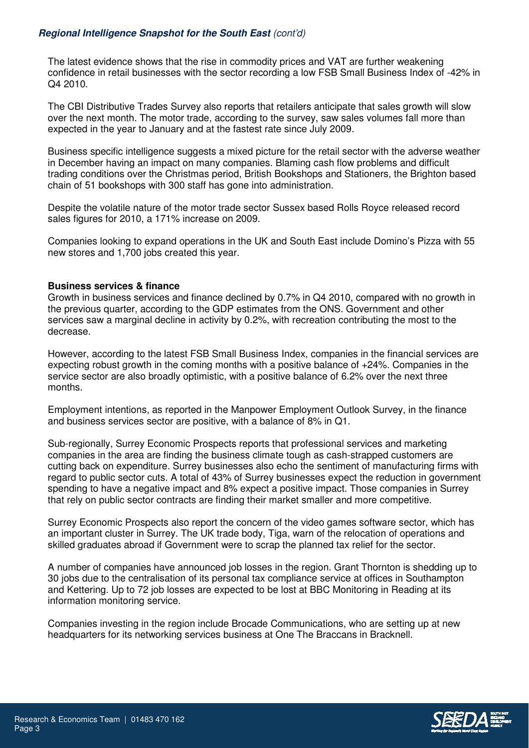# **Regional Intelligence Snapshot for the South East** (cont'd)

The latest evidence shows that the rise in commodity prices and VAT are further weakening confidence in retail businesses with the sector recording a low FSB Small Business Index of -42% in Q4 2010.

The CBI Distributive Trades Survey also reports that retailers anticipate that sales growth will slow over the next month. The motor trade, according to the survey, saw sales volumes fall more than expected in the year to January and at the fastest rate since July 2009.

Business specific intelligence suggests a mixed picture for the retail sector with the adverse weather in December having an impact on many companies. Blaming cash flow problems and difficult trading conditions over the Christmas period, British Bookshops and Stationers, the Brighton based chain of 51 bookshops with 300 staff has gone into administration.

Despite the volatile nature of the motor trade sector Sussex based Rolls Royce released record sales figures for 2010, a 171% increase on 2009.

Companies looking to expand operations in the UK and South East include Domino's Pizza with 55 new stores and 1,700 jobs created this year.

## **Business services & finance**

Growth in business services and finance declined by 0.7% in Q4 2010, compared with no growth in the previous quarter, according to the GDP estimates from the ONS. Government and other services saw a marginal decline in activity by 0.2%, with recreation contributing the most to the decrease.

However, according to the latest FSB Small Business Index, companies in the financial services are expecting robust growth in the coming months with a positive balance of +24%. Companies in the service sector are also broadly optimistic, with a positive balance of 6.2% over the next three months.

Employment intentions, as reported in the Manpower Employment Outlook Survey, in the finance and business services sector are positive, with a balance of 8% in Q1.

Sub-regionally, Surrey Economic Prospects reports that professional services and marketing companies in the area are finding the business climate tough as cash-strapped customers are cutting back on expenditure. Surrey businesses also echo the sentiment of manufacturing firms with regard to public sector cuts. A total of 43% of Surrey businesses expect the reduction in government spending to have a negative impact and 8% expect a positive impact. Those companies in Surrey that rely on public sector contracts are finding their market smaller and more competitive.

Surrey Economic Prospects also report the concern of the video games software sector, which has an important cluster in Surrey. The UK trade body, Tiga, warn of the relocation of operations and skilled graduates abroad if Government were to scrap the planned tax relief for the sector.

A number of companies have announced job losses in the region. Grant Thornton is shedding up to 30 jobs due to the centralisation of its personal tax compliance service at offices in Southampton and Kettering. Up to 72 job losses are expected to be lost at BBC Monitoring in Reading at its information monitoring service.

Companies investing in the region include Brocade Communications, who are setting up at new headquarters for its networking services business at One The Braccans in Bracknell.